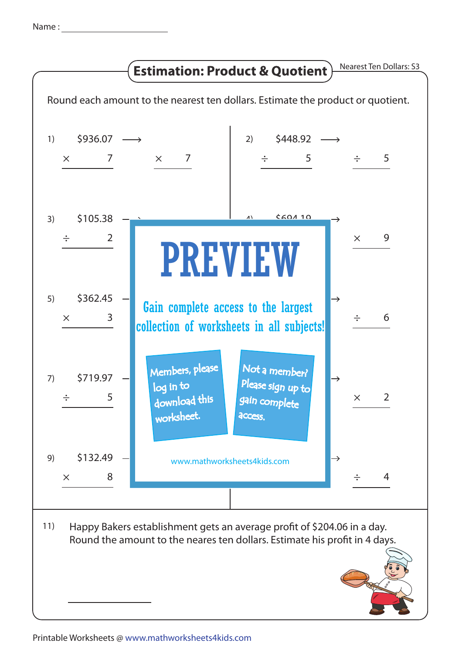